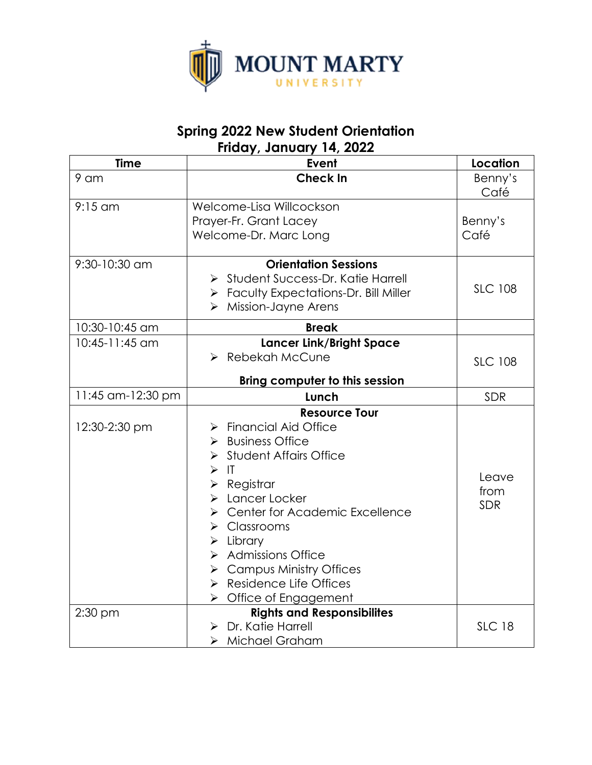

# **Spring 2022 New Student Orientation Friday, January 14, 2022**

| <b>Time</b>       | Event                                                                                                                                                                                                                                                                                                                                                                                                                                               | Location                    |
|-------------------|-----------------------------------------------------------------------------------------------------------------------------------------------------------------------------------------------------------------------------------------------------------------------------------------------------------------------------------------------------------------------------------------------------------------------------------------------------|-----------------------------|
| 9 am              | <b>Check In</b>                                                                                                                                                                                                                                                                                                                                                                                                                                     | Benny's<br>Café             |
| $9:15$ am         | Welcome-Lisa Willcockson<br>Prayer-Fr. Grant Lacey<br>Welcome-Dr. Marc Long                                                                                                                                                                                                                                                                                                                                                                         | Benny's<br>Café             |
| 9:30-10:30 am     | <b>Orientation Sessions</b><br>Student Success-Dr. Katie Harrell<br>> Faculty Expectations-Dr. Bill Miller<br>$\triangleright$ Mission-Jayne Arens                                                                                                                                                                                                                                                                                                  | <b>SLC 108</b>              |
| 10:30-10:45 am    | <b>Break</b>                                                                                                                                                                                                                                                                                                                                                                                                                                        |                             |
| 10:45-11:45 am    | <b>Lancer Link/Bright Space</b><br>> Rebekah McCune<br><b>Bring computer to this session</b>                                                                                                                                                                                                                                                                                                                                                        | <b>SLC 108</b>              |
| 11:45 am-12:30 pm | Lunch                                                                                                                                                                                                                                                                                                                                                                                                                                               | SDR                         |
| 12:30-2:30 pm     | <b>Resource Tour</b><br><b>Financial Aid Office</b><br>➤<br>$\triangleright$ Business Office<br>> Student Affairs Office<br>$>$ IT<br>$\triangleright$ Registrar<br>> Lancer Locker<br><b>Center for Academic Excellence</b><br>➤<br>$\triangleright$ Classrooms<br>$\triangleright$ Library<br>> Admissions Office<br>$\triangleright$ Campus Ministry Offices<br>$\triangleright$ Residence Life Offices<br>$\triangleright$ Office of Engagement | Leave<br>from<br><b>SDR</b> |
| 2:30 pm           | <b>Rights and Responsibilites</b><br>$\triangleright$ Dr. Katie Harrell<br>> Michael Graham                                                                                                                                                                                                                                                                                                                                                         | <b>SLC 18</b>               |